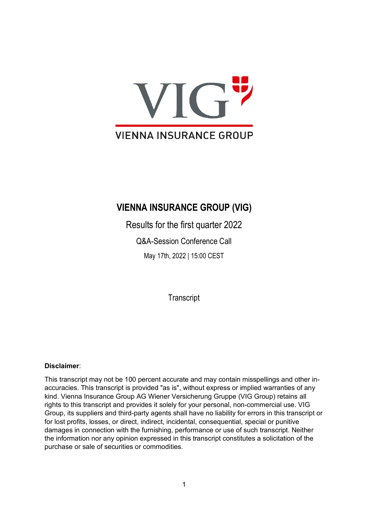

## **VIENNA INSURANCE GROUP (VIG)**

Results for the first quarter 2022 Q&A-Session Conference Call May 17th, 2022 | 15:00 CEST

**Transcript** 

## **Disclaimer**:

This transcript may not be 100 percent accurate and may contain misspellings and other inaccuracies. This transcript is provided "as is", without express or implied warranties of any kind. Vienna Insurance Group AG Wiener Versicherung Gruppe (VIG Group) retains all rights to this transcript and provides it solely for your personal, non-commercial use. VIG Group, its suppliers and third-party agents shall have no liability for errors in this transcript or for lost profits, losses, or direct, indirect, incidental, consequential, special or punitive damages in connection with the furnishing, performance or use of such transcript. Neither the information nor any opinion expressed in this transcript constitutes a solicitation of the purchase or sale of securities or commodities.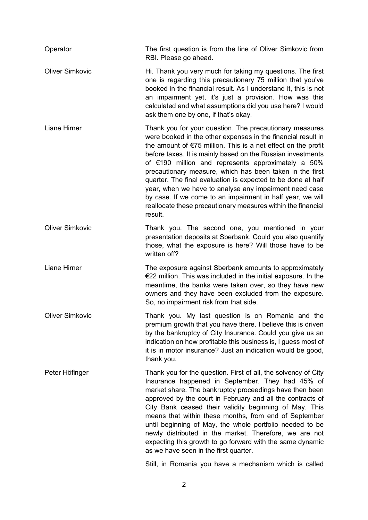| Operator               | The first question is from the line of Oliver Simkovic from<br>RBI. Please go ahead.                                                                                                                                                                                                                                                                                                                                                                                                                                                                                                                                                              |
|------------------------|---------------------------------------------------------------------------------------------------------------------------------------------------------------------------------------------------------------------------------------------------------------------------------------------------------------------------------------------------------------------------------------------------------------------------------------------------------------------------------------------------------------------------------------------------------------------------------------------------------------------------------------------------|
| <b>Oliver Simkovic</b> | Hi. Thank you very much for taking my questions. The first<br>one is regarding this precautionary 75 million that you've<br>booked in the financial result. As I understand it, this is not<br>an impairment yet, it's just a provision. How was this<br>calculated and what assumptions did you use here? I would<br>ask them one by one, if that's okay.                                                                                                                                                                                                                                                                                        |
| <b>Liane Hirner</b>    | Thank you for your question. The precautionary measures<br>were booked in the other expenses in the financial result in<br>the amount of $E$ 75 million. This is a net effect on the profit<br>before taxes. It is mainly based on the Russian investments<br>of $€190$ million and represents approximately a 50%<br>precautionary measure, which has been taken in the first<br>quarter. The final evaluation is expected to be done at half<br>year, when we have to analyse any impairment need case<br>by case. If we come to an impairment in half year, we will<br>reallocate these precautionary measures within the financial<br>result. |
| <b>Oliver Simkovic</b> | Thank you. The second one, you mentioned in your<br>presentation deposits at Sberbank. Could you also quantify<br>those, what the exposure is here? Will those have to be<br>written off?                                                                                                                                                                                                                                                                                                                                                                                                                                                         |
| Liane Hirner           | The exposure against Sberbank amounts to approximately<br>€22 million. This was included in the initial exposure. In the<br>meantime, the banks were taken over, so they have new<br>owners and they have been excluded from the exposure.<br>So, no impairment risk from that side.                                                                                                                                                                                                                                                                                                                                                              |
| <b>Oliver Simkovic</b> | Thank you. My last question is on Romania and the<br>premium growth that you have there. I believe this is driven<br>by the bankruptcy of City Insurance. Could you give us an<br>indication on how profitable this business is, I guess most of<br>it is in motor insurance? Just an indication would be good,<br>thank you.                                                                                                                                                                                                                                                                                                                     |
| Peter Höfinger         | Thank you for the question. First of all, the solvency of City<br>Insurance happened in September. They had 45% of<br>market share. The bankruptcy proceedings have then been<br>approved by the court in February and all the contracts of<br>City Bank ceased their validity beginning of May. This<br>means that within these months, from end of September<br>until beginning of May, the whole portfolio needed to be<br>newly distributed in the market. Therefore, we are not<br>expecting this growth to go forward with the same dynamic<br>as we have seen in the first quarter.                                                        |
|                        | Still, in Romania you have a mechanism which is called                                                                                                                                                                                                                                                                                                                                                                                                                                                                                                                                                                                            |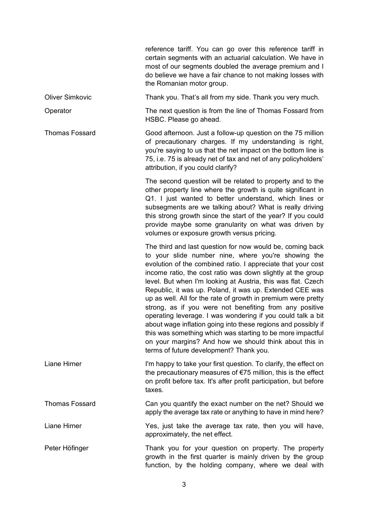|                        | reference tariff. You can go over this reference tariff in<br>certain segments with an actuarial calculation. We have in<br>most of our segments doubled the average premium and I<br>do believe we have a fair chance to not making losses with<br>the Romanian motor group.                                                                                                                                                                                                                                                                                                                                                                                                                                                                                                                              |
|------------------------|------------------------------------------------------------------------------------------------------------------------------------------------------------------------------------------------------------------------------------------------------------------------------------------------------------------------------------------------------------------------------------------------------------------------------------------------------------------------------------------------------------------------------------------------------------------------------------------------------------------------------------------------------------------------------------------------------------------------------------------------------------------------------------------------------------|
| <b>Oliver Simkovic</b> | Thank you. That's all from my side. Thank you very much.                                                                                                                                                                                                                                                                                                                                                                                                                                                                                                                                                                                                                                                                                                                                                   |
| Operator               | The next question is from the line of Thomas Fossard from<br>HSBC. Please go ahead.                                                                                                                                                                                                                                                                                                                                                                                                                                                                                                                                                                                                                                                                                                                        |
| <b>Thomas Fossard</b>  | Good afternoon. Just a follow-up question on the 75 million<br>of precautionary charges. If my understanding is right,<br>you're saying to us that the net impact on the bottom line is<br>75, i.e. 75 is already net of tax and net of any policyholders'<br>attribution, if you could clarify?                                                                                                                                                                                                                                                                                                                                                                                                                                                                                                           |
|                        | The second question will be related to property and to the<br>other property line where the growth is quite significant in<br>Q1. I just wanted to better understand, which lines or<br>subsegments are we talking about? What is really driving<br>this strong growth since the start of the year? If you could<br>provide maybe some granularity on what was driven by<br>volumes or exposure growth versus pricing.                                                                                                                                                                                                                                                                                                                                                                                     |
|                        | The third and last question for now would be, coming back<br>to your slide number nine, where you're showing the<br>evolution of the combined ratio. I appreciate that your cost<br>income ratio, the cost ratio was down slightly at the group<br>level. But when I'm looking at Austria, this was flat. Czech<br>Republic, it was up. Poland, it was up. Extended CEE was<br>up as well. All for the rate of growth in premium were pretty<br>strong, as if you were not benefiting from any positive<br>operating leverage. I was wondering if you could talk a bit<br>about wage inflation going into these regions and possibly if<br>this was something which was starting to be more impactful<br>on your margins? And how we should think about this in<br>terms of future development? Thank you. |
| Liane Hirner           | I'm happy to take your first question. To clarify, the effect on<br>the precautionary measures of $E$ 75 million, this is the effect<br>on profit before tax. It's after profit participation, but before<br>taxes.                                                                                                                                                                                                                                                                                                                                                                                                                                                                                                                                                                                        |
| <b>Thomas Fossard</b>  | Can you quantify the exact number on the net? Should we<br>apply the average tax rate or anything to have in mind here?                                                                                                                                                                                                                                                                                                                                                                                                                                                                                                                                                                                                                                                                                    |
| <b>Liane Hirner</b>    | Yes, just take the average tax rate, then you will have,<br>approximately, the net effect.                                                                                                                                                                                                                                                                                                                                                                                                                                                                                                                                                                                                                                                                                                                 |
| Peter Höfinger         | Thank you for your question on property. The property<br>growth in the first quarter is mainly driven by the group<br>function, by the holding company, where we deal with                                                                                                                                                                                                                                                                                                                                                                                                                                                                                                                                                                                                                                 |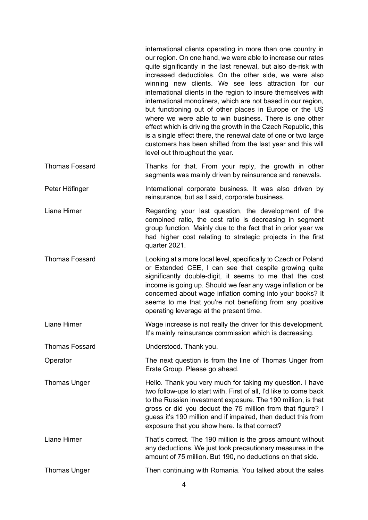|                       | international clients operating in more than one country in<br>our region. On one hand, we were able to increase our rates<br>quite significantly in the last renewal, but also de-risk with<br>increased deductibles. On the other side, we were also<br>winning new clients. We see less attraction for our<br>international clients in the region to insure themselves with<br>international monoliners, which are not based in our region,<br>but functioning out of other places in Europe or the US<br>where we were able to win business. There is one other<br>effect which is driving the growth in the Czech Republic, this<br>is a single effect there, the renewal date of one or two large<br>customers has been shifted from the last year and this will<br>level out throughout the year. |
|-----------------------|----------------------------------------------------------------------------------------------------------------------------------------------------------------------------------------------------------------------------------------------------------------------------------------------------------------------------------------------------------------------------------------------------------------------------------------------------------------------------------------------------------------------------------------------------------------------------------------------------------------------------------------------------------------------------------------------------------------------------------------------------------------------------------------------------------|
| <b>Thomas Fossard</b> | Thanks for that. From your reply, the growth in other<br>segments was mainly driven by reinsurance and renewals.                                                                                                                                                                                                                                                                                                                                                                                                                                                                                                                                                                                                                                                                                         |
| Peter Höfinger        | International corporate business. It was also driven by<br>reinsurance, but as I said, corporate business.                                                                                                                                                                                                                                                                                                                                                                                                                                                                                                                                                                                                                                                                                               |
| Liane Hirner          | Regarding your last question, the development of the<br>combined ratio, the cost ratio is decreasing in segment<br>group function. Mainly due to the fact that in prior year we<br>had higher cost relating to strategic projects in the first<br>quarter 2021.                                                                                                                                                                                                                                                                                                                                                                                                                                                                                                                                          |
| <b>Thomas Fossard</b> | Looking at a more local level, specifically to Czech or Poland<br>or Extended CEE, I can see that despite growing quite<br>significantly double-digit, it seems to me that the cost<br>income is going up. Should we fear any wage inflation or be<br>concerned about wage inflation coming into your books? It<br>seems to me that you're not benefiting from any positive<br>operating leverage at the present time.                                                                                                                                                                                                                                                                                                                                                                                   |
| Liane Hirner          | Wage increase is not really the driver for this development.<br>It's mainly reinsurance commission which is decreasing.                                                                                                                                                                                                                                                                                                                                                                                                                                                                                                                                                                                                                                                                                  |
| <b>Thomas Fossard</b> | Understood. Thank you.                                                                                                                                                                                                                                                                                                                                                                                                                                                                                                                                                                                                                                                                                                                                                                                   |
| Operator              | The next question is from the line of Thomas Unger from<br>Erste Group. Please go ahead.                                                                                                                                                                                                                                                                                                                                                                                                                                                                                                                                                                                                                                                                                                                 |
| <b>Thomas Unger</b>   | Hello. Thank you very much for taking my question. I have<br>two follow-ups to start with. First of all, I'd like to come back<br>to the Russian investment exposure. The 190 million, is that<br>gross or did you deduct the 75 million from that figure? I<br>guess it's 190 million and if impaired, then deduct this from<br>exposure that you show here. Is that correct?                                                                                                                                                                                                                                                                                                                                                                                                                           |
| Liane Hirner          | That's correct. The 190 million is the gross amount without<br>any deductions. We just took precautionary measures in the<br>amount of 75 million. But 190, no deductions on that side.                                                                                                                                                                                                                                                                                                                                                                                                                                                                                                                                                                                                                  |
| <b>Thomas Unger</b>   | Then continuing with Romania. You talked about the sales                                                                                                                                                                                                                                                                                                                                                                                                                                                                                                                                                                                                                                                                                                                                                 |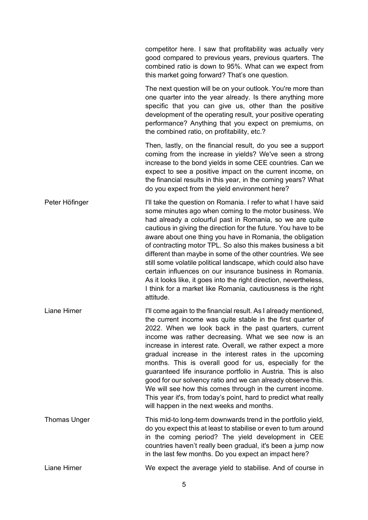|                     | competitor here. I saw that profitability was actually very<br>good compared to previous years, previous quarters. The<br>combined ratio is down to 95%. What can we expect from<br>this market going forward? That's one question.                                                                                                                                                                                                                                                                                                                                                                                                                                                                                                              |
|---------------------|--------------------------------------------------------------------------------------------------------------------------------------------------------------------------------------------------------------------------------------------------------------------------------------------------------------------------------------------------------------------------------------------------------------------------------------------------------------------------------------------------------------------------------------------------------------------------------------------------------------------------------------------------------------------------------------------------------------------------------------------------|
|                     | The next question will be on your outlook. You're more than<br>one quarter into the year already. Is there anything more<br>specific that you can give us, other than the positive<br>development of the operating result, your positive operating<br>performance? Anything that you expect on premiums, on<br>the combined ratio, on profitability, etc.?                                                                                                                                                                                                                                                                                                                                                                                       |
|                     | Then, lastly, on the financial result, do you see a support<br>coming from the increase in yields? We've seen a strong<br>increase to the bond yields in some CEE countries. Can we<br>expect to see a positive impact on the current income, on<br>the financial results in this year, in the coming years? What<br>do you expect from the yield environment here?                                                                                                                                                                                                                                                                                                                                                                              |
| Peter Höfinger      | I'll take the question on Romania. I refer to what I have said<br>some minutes ago when coming to the motor business. We<br>had already a colourful past in Romania, so we are quite<br>cautious in giving the direction for the future. You have to be<br>aware about one thing you have in Romania, the obligation<br>of contracting motor TPL. So also this makes business a bit<br>different than maybe in some of the other countries. We see<br>still some volatile political landscape, which could also have<br>certain influences on our insurance business in Romania.<br>As it looks like, it goes into the right direction, nevertheless,<br>I think for a market like Romania, cautiousness is the right<br>attitude.               |
| Liane Hirner        | I'll come again to the financial result. As I already mentioned,<br>the current income was quite stable in the first quarter of<br>2022. When we look back in the past quarters, current<br>income was rather decreasing. What we see now is an<br>increase in interest rate. Overall, we rather expect a more<br>gradual increase in the interest rates in the upcoming<br>months. This is overall good for us, especially for the<br>guaranteed life insurance portfolio in Austria. This is also<br>good for our solvency ratio and we can already observe this.<br>We will see how this comes through in the current income.<br>This year it's, from today's point, hard to predict what really<br>will happen in the next weeks and months. |
| <b>Thomas Unger</b> | This mid-to long-term downwards trend in the portfolio yield,<br>do you expect this at least to stabilise or even to turn around<br>in the coming period? The yield development in CEE<br>countries haven't really been gradual, it's been a jump now<br>in the last few months. Do you expect an impact here?                                                                                                                                                                                                                                                                                                                                                                                                                                   |
| Liane Hirner        | We expect the average yield to stabilise. And of course in                                                                                                                                                                                                                                                                                                                                                                                                                                                                                                                                                                                                                                                                                       |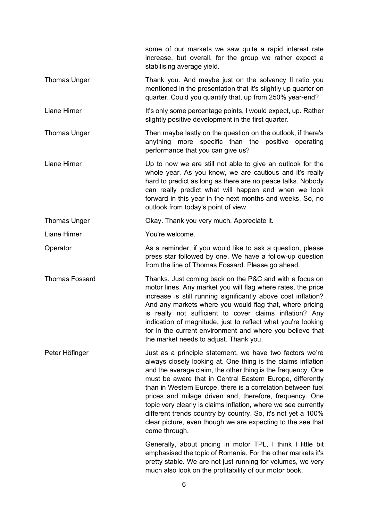|                       | some of our markets we saw quite a rapid interest rate<br>increase, but overall, for the group we rather expect a<br>stabilising average yield.                                                                                                                                                                                                                                                                                                                                                                                                                                                   |
|-----------------------|---------------------------------------------------------------------------------------------------------------------------------------------------------------------------------------------------------------------------------------------------------------------------------------------------------------------------------------------------------------------------------------------------------------------------------------------------------------------------------------------------------------------------------------------------------------------------------------------------|
| <b>Thomas Unger</b>   | Thank you. And maybe just on the solvency II ratio you<br>mentioned in the presentation that it's slightly up quarter on<br>quarter. Could you quantify that, up from 250% year-end?                                                                                                                                                                                                                                                                                                                                                                                                              |
| Liane Hirner          | It's only some percentage points, I would expect, up. Rather<br>slightly positive development in the first quarter.                                                                                                                                                                                                                                                                                                                                                                                                                                                                               |
| <b>Thomas Unger</b>   | Then maybe lastly on the question on the outlook, if there's<br>anything more specific than the positive operating<br>performance that you can give us?                                                                                                                                                                                                                                                                                                                                                                                                                                           |
| Liane Hirner          | Up to now we are still not able to give an outlook for the<br>whole year. As you know, we are cautious and it's really<br>hard to predict as long as there are no peace talks. Nobody<br>can really predict what will happen and when we look<br>forward in this year in the next months and weeks. So, no<br>outlook from today's point of view.                                                                                                                                                                                                                                                 |
| <b>Thomas Unger</b>   | Okay. Thank you very much. Appreciate it.                                                                                                                                                                                                                                                                                                                                                                                                                                                                                                                                                         |
| Liane Hirner          | You're welcome.                                                                                                                                                                                                                                                                                                                                                                                                                                                                                                                                                                                   |
| Operator              | As a reminder, if you would like to ask a question, please<br>press star followed by one. We have a follow-up question<br>from the line of Thomas Fossard. Please go ahead.                                                                                                                                                                                                                                                                                                                                                                                                                       |
| <b>Thomas Fossard</b> | Thanks. Just coming back on the P&C and with a focus on<br>motor lines. Any market you will flag where rates, the price<br>increase is still running significantly above cost inflation?<br>And any markets where you would flag that, where pricing<br>is really not sufficient to cover claims inflation? Any<br>indication of magnitude, just to reflect what you're looking<br>for in the current environment and where you believe that<br>the market needs to adjust. Thank you.                                                                                                            |
| Peter Höfinger        | Just as a principle statement, we have two factors we're<br>always closely looking at. One thing is the claims inflation<br>and the average claim, the other thing is the frequency. One<br>must be aware that in Central Eastern Europe, differently<br>than in Western Europe, there is a correlation between fuel<br>prices and milage driven and, therefore, frequency. One<br>topic very clearly is claims inflation, where we see currently<br>different trends country by country. So, it's not yet a 100%<br>clear picture, even though we are expecting to the see that<br>come through. |
|                       | Generally, about pricing in motor TPL, I think I little bit<br>emphasised the topic of Romania. For the other markets it's<br>pretty stable. We are not just running for volumes, we very<br>much also look on the profitability of our motor book.                                                                                                                                                                                                                                                                                                                                               |